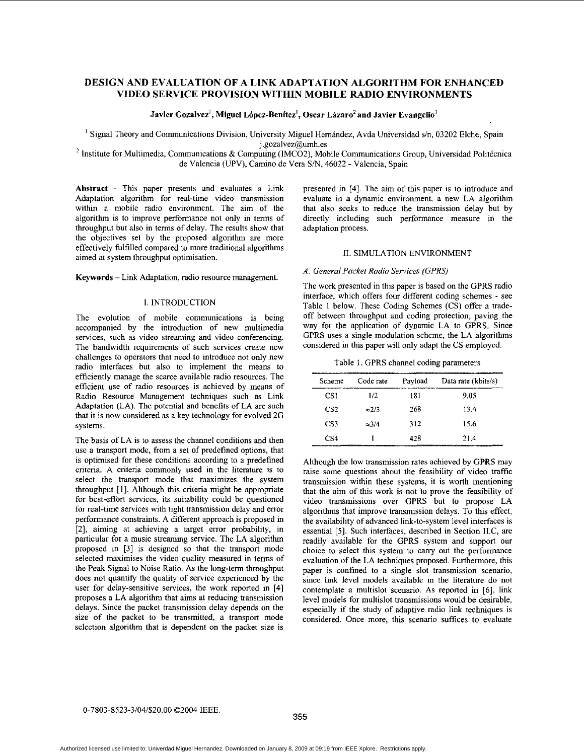# **DESIGN AND EVALUATION OF A LINK ADAPTATION ALGORITHM FOR ENHANCED VIDEO SERVICE PROVISION WITHIN MOBILE RADIO ENVIRONMENTS**

Javier Gozalvez<sup>1</sup>, Miguel López-Benítez<sup>1</sup>, Oscar Lázaro<sup>2</sup> and Javier Evangelio<sup>1</sup>

<sup>1</sup> Signal Theory and Communications Division, University Miguel Hernández, Avda Universidad s/n, 03202 Elche, Spain<br>
1.gozalvez@umh.es

<sup>2</sup> Institute for Multimedia, Communications & Computing (IMCO2), Mobile Communications Group, Universidad Politécnica de Valencia (UPV), Camino de Vera S/N, 46022 - Valencia, Spain

Abstract - This paper presents and evaluates a Link Adaptation algorithm for real-time video transmission within a mobile radio environment. The aim of the algorithm is to improve performance not only in terms of throughput but also in terms of delay. The results show that the objectives set by the proposed algorithm are more effectively fulfilled compared to more traditional algorithms aimed at system throughput optimisation.

**Keywords** - Link Adaptation, radio resource management.

### **1.** INTRODUCTION

The evolution of mobile communications is being accompanied by the introduction of new multimedia services, such as video streaming and video conferencing. The bandwidth requirements of such services create new challenges to operators that need to introduce not only new radio interfaces but also to implement the means to efficiently manage the scarce available radio resources. The efficient use of radio resources is achieved by means of Radio Resource Management techniques such as Link Adaptation (LA). The potential and benefits of LA are such that it is now considered as a key technology for evolved 2G systems.

The basis of LA is to assess the channel conditions and then use a transport mode, from a set of predefined options, that is optimised for these conditions according to a predefined criteria. A criteria commonly used in the literature is to select the transport mode that maximizes the system throughput **[I].** Although this criteria might be appropriate for best-effort services, its suitability could be questioned for real-time services with tight transmission delay and error performance constraints. **A** different approach is proposed in **[Z],** aiming at achieving a target error probability, in particular for a music streaming service. The LA algorithm proposed in [3] is designed so that the transport mode selected maximises the video quality measured in terms of the Peak Signal to Noise Ratio. **As** the long-term throughput does not quantify the quality of service experienced by the user for delay-sensitive services, the work reported in [4] proposes a LA algorithm that aims at reducing transmission delays. Since the packet transmission delay depends on the size of the packet to he transmitted, a transport mode selection algorithm that is dependent on the packet size is presented in [4]. The aim of this paper is to introduce and evaluate in a dynamic environment, a new LA algorithm that also seeks to reduce the transmission delay but by directly including such performance measure in the adaptation process.

### **11.** SIMULATION ENVlRONMENT

### *A. General Packet Radio Services (GPRS)*

The work presented in this paper is based on the GPRS radio interface, which offers four different coding schemes - see Table 1 below. These Coding Schemes (CS) offer a tradeoff between throughput and coding protection, paving the way for the application of dynamic LA to GPRS. Since GPRS uses a single modulation scheme, the LA algorithms considered in this paper will only adapt the CS employed.

Table **1.** GPRS channel coding parameters

| Scheme          | Code rate     | Payload | Data rate (kbits/s) |
|-----------------|---------------|---------|---------------------|
| CS1             | 1/2           | 181     | 9.05                |
| CS <sub>2</sub> | $\approx$ 2/3 | 268     | 134                 |
| CS <sub>3</sub> | $\approx 3/4$ | 312     | 15.6                |
| CS4             |               | 428     | 214                 |

Although the low transmission rates achieved by GPRS may raise some questions ahout the feasibility of video traffic transmission within these systems, it is worth mentioning that the aim of this work is not to prove the feasibility of video transmissions over GPRS but to propose LA algorithms that improve transmission delays. To this effect, the availability of advanced link-to-system level interfaces is essential [5]. Such interfaces, described in Section **ILC,** are readily available for the GPRS system and support our choice to select this system to carry out the performance evaluation of the LA techniques proposed. Furthermore, this paper is confined to a single slot transmission scenario, since link level models available in the literature do not contemplate a multislot scenario. As reported in [6], link level models for multislot transmissions would be desirable, especially if the study of adaptive radio link techniques is considered. Once more, this scenario suffices to evaluate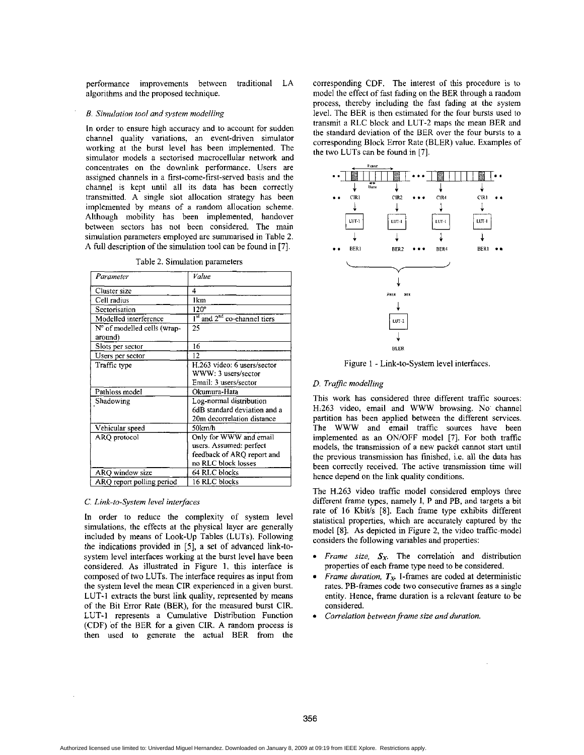performance improvements between traditional LA algorithms and the proposed technique.

### *B. Simulation tool and system modelling*

In order to ensure high accuracy and to account for sudden channel quality variations, an event-driven simulator working at the burst level has been implemented. The simulator models a sectorised macrocellular network and concentrates on the downlink performance. Users are assigned channels in a first-come-first-served basis and the channel is kept until all its data has been correctly transmitted. A single slot allocation strategy has heen implemented by means of a random allocation scheme. Although mobility has been implemented, handover between sectors has not heen considered. The main simulation parameters employed are summarised in Table **2.**  A full description of the simulation tool can he found in **[7].** 

Table **2.** Simulation parameters

| Parameter                              | Value                                                                                                  |
|----------------------------------------|--------------------------------------------------------------------------------------------------------|
| Cluster size                           | 4                                                                                                      |
| Cell radius                            | 1km                                                                                                    |
| Sectorisation                          | 120°                                                                                                   |
| Modelled interference                  | $Ist$ and $2nd$ co-channel tiers                                                                       |
| N° of modelled cells (wrap-<br>around) | 25                                                                                                     |
| Slots per sector                       | 16                                                                                                     |
| Users per sector                       | 12                                                                                                     |
| Traffic type                           | H.263 video: 6 users/sector<br>WWW: 3 users/sector<br>Email: 3 users/sector                            |
| Pathloss model                         | Okumura-Hata                                                                                           |
| Shadowing                              | Log-normal distribution<br>6dB standard deviation and a<br>20m decorrelation distance                  |
| Vehicular speed                        | 50km/h                                                                                                 |
| ARO protocol                           | Only for WWW and email<br>users. Assumed: perfect<br>feedback of ARQ report and<br>no RLC block losses |
| ARO window size                        | 64 RLC blocks                                                                                          |
| ARQ report polling period              | 16 RLC blocks                                                                                          |

### *C. Link-to-System level interfaces*

ln order to reduce the complexity of system level simulations, the effects at the physical layer are generally included by means of Look-Up Tables (LUTs). Following the indications provided in *[5],* a set of advanced link-tosystem level interfaces working at the burst level have been considered. **As** illustrated in Figure 1, this interface is composed of two LUTs. The interface requires as input from the system level the mean CLR experienced in a given burst. LUT-1 extracts the burst link quality, represented by means of the Bit Error Rate (BER), for the measured burst CIR. LUT-1 represents a Cumulative Distribution Function (CDF) of the BER for a given CIR. A random process is then used to generate the actual BER from the

corresponding CDF. The interest of this procedure **is** to model the effect of fast fading on the BER through a random process, thereby including the fast fading at the system level. The BER is then estimated for the four bursts used to transmit a RLC block and LUT-2 maps the mean BER and the standard deviation of the BER over the four bursts to a corresponding Block Error Rate (BLER) value. Examples of the two LUTs can be found in **[7].** 



Figure 1 - Link-to-System level interfaces.

# *D. Traflc modelling*

This work has considered three different traffic sources: H,263 video, email and WWW browsing. No' channel partition has been applied between the different services. The WWW and email traffic sources have been implemented as an ON/OFF model **[7].** For both traffic models, the transmission of a new packet cannot start until the previous transmission has finished, i.e. all the data has been correctly received. The active transmission time will hence depend on the link quality conditions.

The H.263 video traffic model considered employs three different frame types, namely I, P and PB, and targets a bit rate of 16 Kbit/s [8]. Each frame type exhibits different statistical properties, which are accurately captured by the model [8]. As depicted in Figure 2, the video traffic model considers the following variables and properties:

- *Frame size,*  $S_X$ . The correlation and distribution properties of each frame type need to be considered.
- *Frame duration,*  $T_x$ . I-frames are coded at deterministic rates. PB-frames code two consecutive frames as a single entity. Hence, frame duration **is** a relevant feature to be considered.
- *Correlation between frame size and duration.*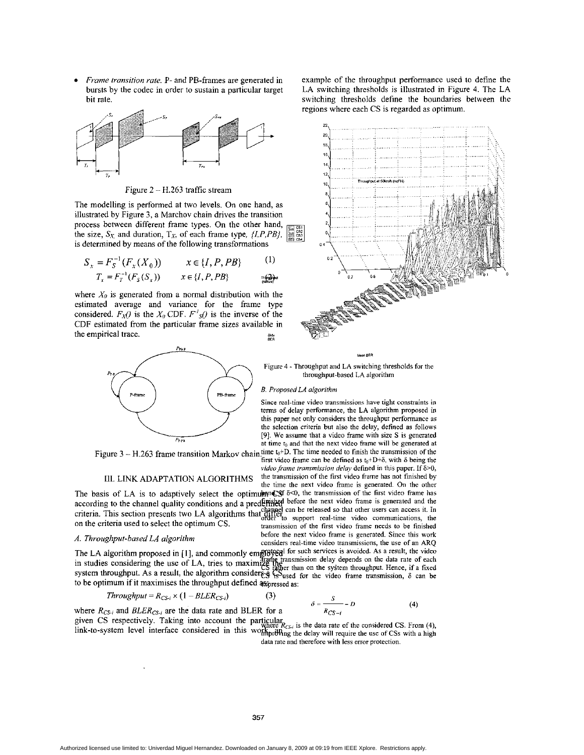*Frame transition rate.* P- and PB-frames are generated in bursts by the codec in order to sustain a particular target hit rate.



Figure  $2 - H.263$  traffic stream

The modelling **is** performed at two levels. On one hand, as illustrated by Figure **3,** a Marchov chain drives the transition process between different frame types. On the other hand, the size,  $S_X$  and duration,  $T_X$ , of each frame type,  $\{I, P, PB\}$ . is determined by means of the following transformations

$$
S_x = F_S^{-1}(F_x(X_0)) \qquad x \in \{I, P, PB\} \tag{1}
$$

$$
T_x = F_T^{-1}(F_S(S_x)) \qquad x \in \{I, P, PB\} \qquad \text{no (2) and } \text{no (2) and } \text{no (2) and } \text{no (2) and } \text{no (2) and } \text{no (2) and } \text{no (2) and } \text{no (2) and } \text{no (2) and } \text{no (2) and } \text{no (2) and } \text{no (2) and } \text{no (2) and } \text{no (2) and } \text{no (2) and } \text{no (2) and } \text{no (2) and } \text{no (2) and } \text{no (2) and } \text{no (2) and } \text{no (2) and } \text{no (2) and } \text{no (2) and } \text{no (2) and } \text{no (2) and } \text{no (2) and } \text{no (2) and } \text{no (2) and } \text{no (2) and } \text{no (2) and } \text{no (2) and } \text{no (2) and } \text{no (2) and } \text{no (2) and } \text{no (2) and } \text{no (2) and } \text{no (2) and } \text{no (2) and } \text{no (2) and } \text{no (2) and } \text{no (2) and } \text{no (2) and } \text{no (2) and } \text{no (2) and } \text{no (2) and } \text{no (2) and } \text{no (2) and } \text{no (2) and } \text{no (2) and } \text{no (2) and } \text{no (2) and } \text{no (2) and } \text{no (2) and } \text{no (2) and } \text{no (2) and } \text{no (2) and } \text{no (2) and } \text{no (2) and } \text{no (2) and } \text{no (2) and } \text{no (2) and } \text{no (2) and } \text{no (2) and } \text{no (2) and } \text{no (2) and } \text{no (2) and } \text{no (2) and } \text{no (2) and } \text{no (2) and } \text{no (2) and } \text{no (2) and } \text{no (2) and } \text{no (2) and } \text{no (2) and } \text{no (2) and } \text{no (2) and } \text{no (2) and } \text{no (2) and } \text{no (2) and } \text{no (2) and } \text{no (2) and
$$

where  $X_0$  is generated from a normal distribution with the estimated average and variance for the frame type considered.  $F_X()$  is the  $X_0$  CDF.  $F'_S()$  is the inverse of the CDF estimated from the particular frame sizes available in **SS" BIR** the empirical trace.



### **111, LINK ADAPTATION** ALGORITHMS

The basis of LA is to adaptively select the optimulant of  $\mathcal{S}$  6<0, the transmission of the first video frame has according to the channel quality conditions and a predetined before the next video frame is generated an according to the channel quality conditions and a predemished before the next video frame is generated and the<br>criteria. This section presents two LA algorithms that diliter, a mappet real time, video communications, the **D** extends the criteria used to select the optimum CS. **Examples**  $\frac{1}{2}$  to support real-time video communications, the transmission of the first video frame needs to be finished

A. Throughput-based LA algorithm<br>considers real-time video transmissions, the use of an ARQ<br>The LA algorithm proposed in [1], and commonly emptoped for such services is avoided. As a result, the video The LA algorithm proposed in [1], and commonly employed as the day depends on the data rate of each<br>in studies considering the use of LA, tries to maximize flator than on the system throughput. Hence, if a fixed<br>system th

*Throughput = R<sub>CS-i</sub>* × (1 – *BLER<sub>CS-i</sub>*) (3) 
$$
\delta = \frac{S}{R} - D
$$
 (4)

where  $R_{CS-i}$  and  $BLER_{CS-i}$  are the data rate and BLER for a<br>given CS respectively. Taking into account the particular<br> $R_{CS-i}$  is the data rate of the considered CS. From (4),<br> $R_{CS-i}$  is the data rate of the considered CS. link-to-system level interface considered in this workhord in the data rate of the considered CS. From (4), link-to-system level interface considered in this workhord in the level of CSs with a high

data rate and therefore with less error protection.

example of the throughput performance used to define the LA switching thresholds is illustrated in Figure 4. The **LA**  switching thresholds define the boundaries between the regions where each CS is regarded as optimum.





**Figure** 4 -Throughput and LA switching thresholds for the throughput-based LA algorithm

### *B. Proposed LA algorithm*

Since real-time video **transmissions** have tight constraints in terms of delay performance, the LA algorithm proposed in this paper not only considers the throughput performance **as**  the selection criteria but **also** the delay, defined as follows **[9].** We assume that a video frame with size *S* is generated at time  $t_0$  and that the next video frame will be generated at

Figure 3 - H.263 frame transition Markov chain,time t<sub>0</sub>+D. The time needed to finish the transmission of the first video frame can be defined as  $t_0+D+\delta$ , with  $\delta$  being the *video frame transmission* delay defined in this **paper.** If *6>0,*  the transmission of the first video frame has not finished by

the time the next video frame is generated. On the other

before the next video frame is generated. Since this work

Authorized licensed use limited to: Univerdad Miguel Hernandez. Downloaded on January 8, 2009 at 09:19 from IEEE Xplore. Restrictions apply.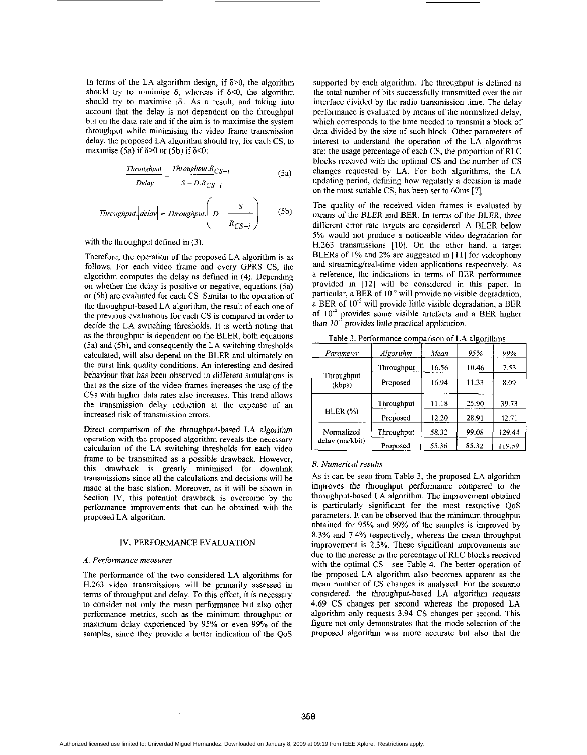In terms of the LA algorithm design, if  $\delta$ >0, the algorithm should try to minimise  $\delta$ , whereas if  $\delta$ <0, the algorithm should try to maximise  $|\delta|$ . As a result, and taking into account that the delay is not dependent on the throughput hut on the data rate and if the aim is to maximise the system throughput while minimising the video frame transmission delay, the proposed LA algorithm should try, for each CS, to maximise (5a) if  $\delta$ >0 or (5b) if  $\delta$ <0:

$$
\frac{Throughout}{Delay} = \frac{Throughout.R_{CS-i}}{S - D.R_{CS-i}} \tag{5a}
$$

$$
\frac{\text{Throughout In the image of } S_1, \text{ for each } S_2, \text{ is finite}}{\text{Delay}} = \frac{\text{Throughout: } R_{CS-i}}{S - D.R_{CS-i}} \tag{5a}
$$
\n
$$
\frac{\text{Throughout: } R_{CS-i}}{Delay} = \frac{\text{Throughout: } R_{CS-i}}{S - D.R_{CS-i}} \tag{5b}
$$
\n
$$
\text{Throughout: } |\text{delay}| = \text{Throughout: } \left( \frac{S}{R_{CS-i}} \right) \tag{5b}
$$

with the throughput defined in  $(3)$ .

Therefore, the operation of the proposed LA algorithm is as follows. For each video frame and every GPRS **CS,** the algorithm computes the delay as defined in (4). Depending on whether the delay is positive or negative, equations (5a) or (5h) are evaluated for each CS. Similar to the operation of the throughput-based LA algorithm, the result of each one of the previous evaluations for each **CS** is compared in order to decide the LA switching thresholds. It is worth noting that as the throughput is dependent on the BLER, both equations (5a) and (5b), and consequently the LA switching thresholds calculated, will also depend on the BLER and ultimately on the burst link quality conditions. **An** interesting and desired behaviour that has been observed in different simulations is that as the size of the video frames increases the use of the **CSs** with higher data rates also increases. This trend allows the transmission delay reduction at the expense of an increased risk of transmission errors.

Direct comparison of the throughput-based LA algorithm operation with the **proposed** algorithm **reveals** the necessary calculation of the LA switching thresholds for each video frame to be transmitted as a possible drawback. However, this drawback is greatly minimised for downlink transmissions since all the calculations and decisions will be made at the base station. Moreover, as it will be shown in Section IV, this potential drawback is overcome by the performance improvements that can he obtained with the proposed LA algorithm.

# IV. PERFORMANCE EVALUATION

### *A. Peijonnance measures*

The performance of the two considered LA algorithms for H.263 video transmissions will he primarily assessed in terms of throughput and delay. To this effect, it is necessary to consider not only the mean performance but also other performance metrics, such as the minimum throughput or maximum delay experienced by 95% or even 99% of the samples, since they provide a better indication of the QoS

supported by each algorithm. The throughput is defined as the total number of bits successfully transmitted over the air interface divided by the radio transmission time. The delay performance is evaluated by means of the normalized delay, which corresponds to the time needed to transmit a block of data divided by the size of such block. Other parameters of interest to understand the operation of the LA algorithms are: the usage percentage of each CS, the proportion of RLC blocks received with the optimal *CS* and the number of CS changes requested by LA. For both algorithms, the LA updating period, defining how regularly a decision is made on the most suitable CS, has been set to 60ms [7].

The quality of the received video frames is evaluated by means of the BLER and BER. In terms of the BLER, three different error rate targets are considered. A BLER helow **5%** would not produce a noticeable video degradation for **H.263** transmissions [IO]. On the other hand, a target BLERs of 1% and **2%** are suggested in **[I I]** for videophony and streaming/real-time video applications respectively. As a reference, the indications in terms of BER performance provided in **[I21** will be considered in this paper. In particular, a BER of  $10^{-6}$  will provide no visible degradation, a BER of **10.'** will provide little visible degradation, a BER of  $10^{-4}$  provides some visible artefacts and a BER higher than  $10^{-3}$  provides little practical application.

|                      |            |       | ---   |        |
|----------------------|------------|-------|-------|--------|
| Parameter            | Algorithm  | Mean  | 95%   | 99%    |
|                      | Throughput | 16.56 | 10.46 | 7.53   |
| Throughput<br>(kbps) | Proposed   | 16.94 | 11.33 | 8.09   |
|                      | Throughput | 11.18 | 25.90 | 39.73  |
| BLER (%)             | Proposed   | 12.20 | 28.91 | 42.71  |
| Normalized           | Throughput | 58.32 | 99.08 | 129.44 |
| delay (ms/kbit)      | Proposed   | 55.36 | 85.32 | 119.59 |

Table 3. Performance comparison of LA algorithms

### *B. Numerical results*

As it can be seen from Table **3,** the proposed LA algorithm improves the throughput performance compared to the throughput-based LA algorithm. The improvement obtained is particularly significant for the most restrictive QoS parameters. It can he observed that the minimum throughput obtained for 95% and 99% of the samples is improved by 8.3% and 7.4% respectively, whereas the mean throughput improvement is **2.3%.** These significant improvements are due to the increase in the percentage of RLC blocks received with the optimal CS - see [Table](#page-4-0) **4.** The better operation of the proposed LA algorithm also becomes apparent as the mean number of CS changes is analysed. For the scenario considered, the throughput-based LA algorithm requests 4.69 CS changes per second whereas the proposed LA algorithm only requests 3.94 CS changes per second. This figure not only demonstrates that the mode selection of the proposed algorithm was more accurate but also that the